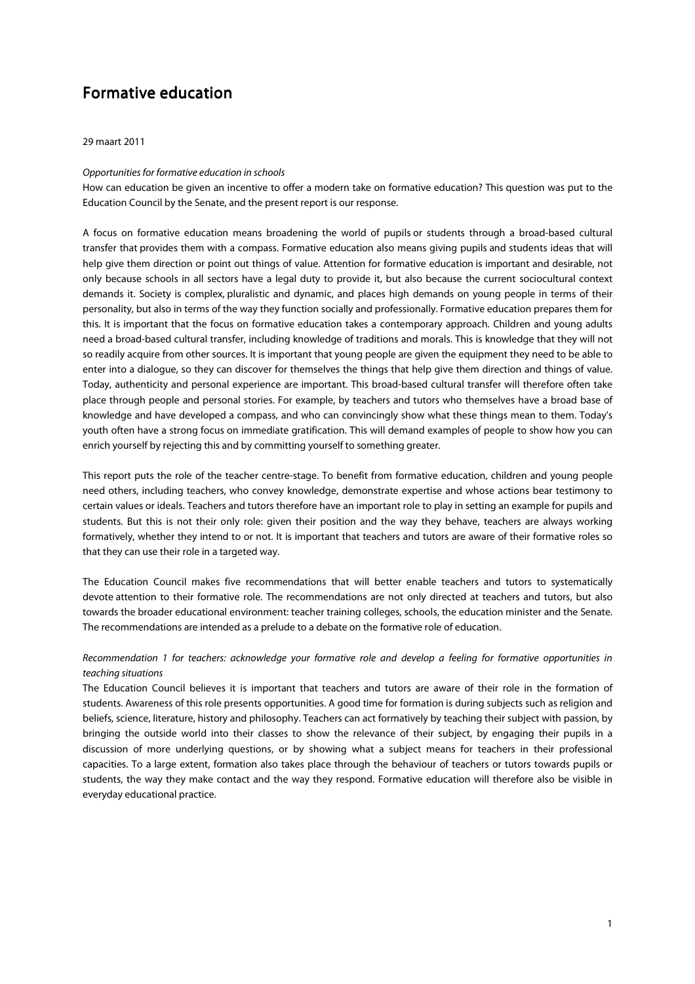# Formative education

29 maart 2011

### Opportunities for formative education in schools

How can education be given an incentive to offer a modern take on formative education? This question was put to the Education Council by the Senate, and the present report is our response.

A focus on formative education means broadening the world of pupils or students through a broad-based cultural transfer that provides them with a compass. Formative education also means giving pupils and students ideas that will help give them direction or point out things of value. Attention for formative education is important and desirable, not only because schools in all sectors have a legal duty to provide it, but also because the current sociocultural context demands it. Society is complex, pluralistic and dynamic, and places high demands on young people in terms of their personality, but also in terms of the way they function socially and professionally. Formative education prepares them for this. It is important that the focus on formative education takes a contemporary approach. Children and young adults need a broad-based cultural transfer, including knowledge of traditions and morals. This is knowledge that they will not so readily acquire from other sources. It is important that young people are given the equipment they need to be able to enter into a dialogue, so they can discover for themselves the things that help give them direction and things of value. Today, authenticity and personal experience are important. This broad-based cultural transfer will therefore often take place through people and personal stories. For example, by teachers and tutors who themselves have a broad base of knowledge and have developed a compass, and who can convincingly show what these things mean to them. Today's youth often have a strong focus on immediate gratification. This will demand examples of people to show how you can enrich yourself by rejecting this and by committing yourself to something greater.

This report puts the role of the teacher centre-stage. To benefit from formative education, children and young people need others, including teachers, who convey knowledge, demonstrate expertise and whose actions bear testimony to certain values or ideals. Teachers and tutors therefore have an important role to play in setting an example for pupils and students. But this is not their only role: given their position and the way they behave, teachers are always working formatively, whether they intend to or not. It is important that teachers and tutors are aware of their formative roles so that they can use their role in a targeted way.

The Education Council makes five recommendations that will better enable teachers and tutors to systematically devote attention to their formative role. The recommendations are not only directed at teachers and tutors, but also towards the broader educational environment: teacher training colleges, schools, the education minister and the Senate. The recommendations are intended as a prelude to a debate on the formative role of education.

## Recommendation 1 for teachers: acknowledge your formative role and develop a feeling for formative opportunities in teaching situations

The Education Council believes it is important that teachers and tutors are aware of their role in the formation of students. Awareness of this role presents opportunities. A good time for formation is during subjects such as religion and beliefs, science, literature, history and philosophy. Teachers can act formatively by teaching their subject with passion, by bringing the outside world into their classes to show the relevance of their subject, by engaging their pupils in a discussion of more underlying questions, or by showing what a subject means for teachers in their professional capacities. To a large extent, formation also takes place through the behaviour of teachers or tutors towards pupils or students, the way they make contact and the way they respond. Formative education will therefore also be visible in everyday educational practice.